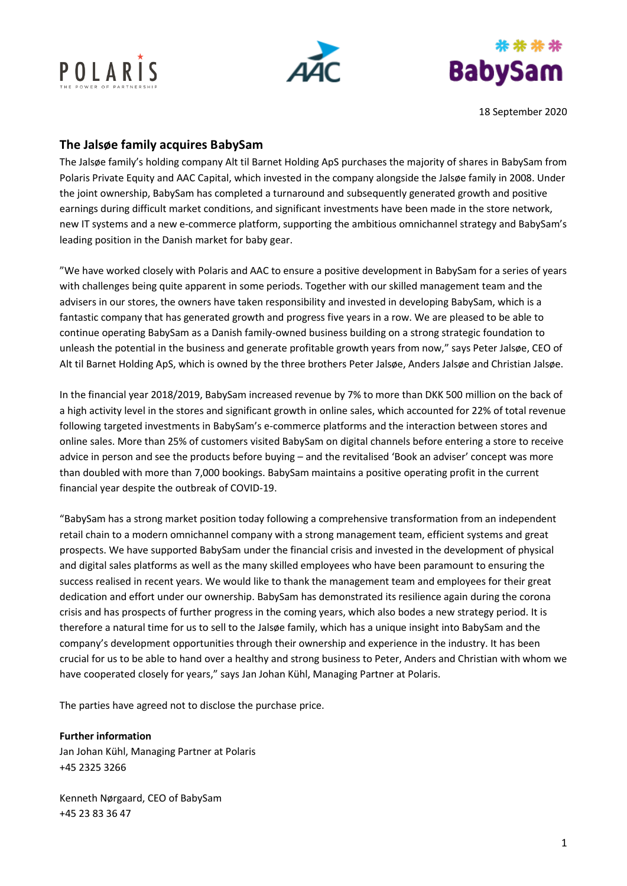





18 September 2020

## **The Jalsøe family acquires BabySam**

The Jalsøe family's holding company Alt til Barnet Holding ApS purchases the majority of shares in BabySam from Polaris Private Equity and AAC Capital, which invested in the company alongside the Jalsøe family in 2008. Under the joint ownership, BabySam has completed a turnaround and subsequently generated growth and positive earnings during difficult market conditions, and significant investments have been made in the store network, new IT systems and a new e-commerce platform, supporting the ambitious omnichannel strategy and BabySam's leading position in the Danish market for baby gear.

"We have worked closely with Polaris and AAC to ensure a positive development in BabySam for a series of years with challenges being quite apparent in some periods. Together with our skilled management team and the advisers in our stores, the owners have taken responsibility and invested in developing BabySam, which is a fantastic company that has generated growth and progress five years in a row. We are pleased to be able to continue operating BabySam as a Danish family-owned business building on a strong strategic foundation to unleash the potential in the business and generate profitable growth years from now," says Peter Jalsøe, CEO of Alt til Barnet Holding ApS, which is owned by the three brothers Peter Jalsøe, Anders Jalsøe and Christian Jalsøe.

In the financial year 2018/2019, BabySam increased revenue by 7% to more than DKK 500 million on the back of a high activity level in the stores and significant growth in online sales, which accounted for 22% of total revenue following targeted investments in BabySam's e-commerce platforms and the interaction between stores and online sales. More than 25% of customers visited BabySam on digital channels before entering a store to receive advice in person and see the products before buying – and the revitalised 'Book an adviser' concept was more than doubled with more than 7,000 bookings. BabySam maintains a positive operating profit in the current financial year despite the outbreak of COVID-19.

"BabySam has a strong market position today following a comprehensive transformation from an independent retail chain to a modern omnichannel company with a strong management team, efficient systems and great prospects. We have supported BabySam under the financial crisis and invested in the development of physical and digital sales platforms as well as the many skilled employees who have been paramount to ensuring the success realised in recent years. We would like to thank the management team and employees for their great dedication and effort under our ownership. BabySam has demonstrated its resilience again during the corona crisis and has prospects of further progress in the coming years, which also bodes a new strategy period. It is therefore a natural time for us to sell to the Jalsøe family, which has a unique insight into BabySam and the company's development opportunities through their ownership and experience in the industry. It has been crucial for us to be able to hand over a healthy and strong business to Peter, Anders and Christian with whom we have cooperated closely for years," says Jan Johan Kühl, Managing Partner at Polaris.

The parties have agreed not to disclose the purchase price.

**Further information**

Jan Johan Kühl, Managing Partner at Polaris +45 2325 3266

Kenneth Nørgaard, CEO of BabySam +45 23 83 36 47